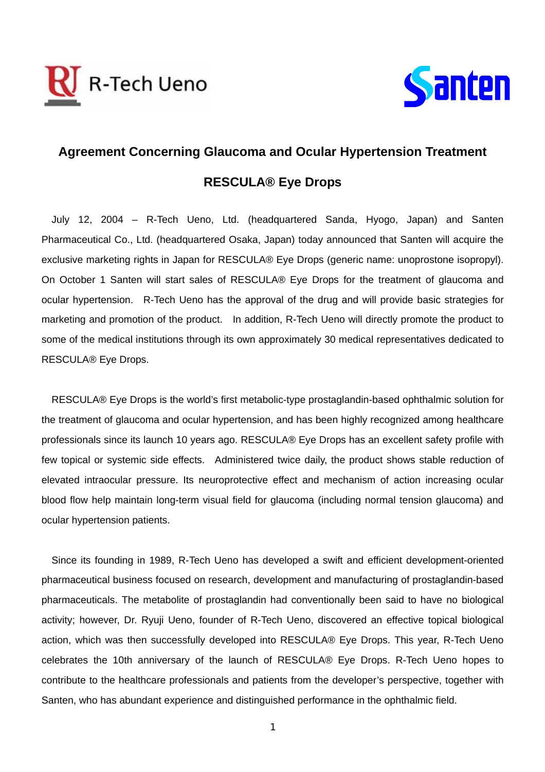



## **Agreement Concerning Glaucoma and Ocular Hypertension Treatment RESCULA® Eye Drops**

July 12, 2004 – R-Tech Ueno, Ltd. (headquartered Sanda, Hyogo, Japan) and Santen Pharmaceutical Co., Ltd. (headquartered Osaka, Japan) today announced that Santen will acquire the exclusive marketing rights in Japan for RESCULA® Eye Drops (generic name: unoprostone isopropyl). On October 1 Santen will start sales of RESCULA® Eye Drops for the treatment of glaucoma and ocular hypertension. R-Tech Ueno has the approval of the drug and will provide basic strategies for marketing and promotion of the product. In addition, R-Tech Ueno will directly promote the product to some of the medical institutions through its own approximately 30 medical representatives dedicated to RESCULA® Eye Drops.

RESCULA® Eye Drops is the world's first metabolic-type prostaglandin-based ophthalmic solution for the treatment of glaucoma and ocular hypertension, and has been highly recognized among healthcare professionals since its launch 10 years ago. RESCULA® Eye Drops has an excellent safety profile with few topical or systemic side effects. Administered twice daily, the product shows stable reduction of elevated intraocular pressure. Its neuroprotective effect and mechanism of action increasing ocular blood flow help maintain long-term visual field for glaucoma (including normal tension glaucoma) and ocular hypertension patients.

Since its founding in 1989, R-Tech Ueno has developed a swift and efficient development-oriented pharmaceutical business focused on research, development and manufacturing of prostaglandin-based pharmaceuticals. The metabolite of prostaglandin had conventionally been said to have no biological activity; however, Dr. Ryuji Ueno, founder of R-Tech Ueno, discovered an effective topical biological action, which was then successfully developed into RESCULA® Eye Drops. This year, R-Tech Ueno celebrates the 10th anniversary of the launch of RESCULA® Eye Drops. R-Tech Ueno hopes to contribute to the healthcare professionals and patients from the developer's perspective, together with Santen, who has abundant experience and distinguished performance in the ophthalmic field.